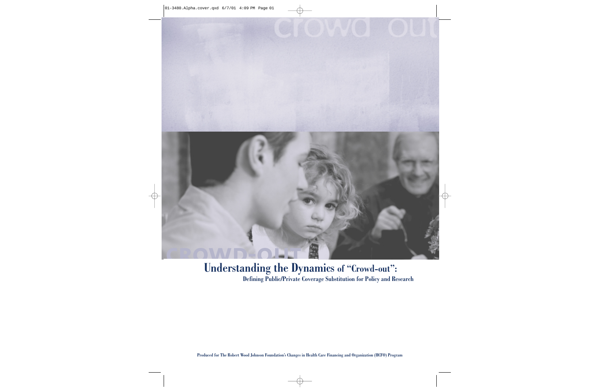

### **Understanding the Dynamics of "Crowd-out":**

**Defining Public/Private Coverage Substitution for Policy and Research**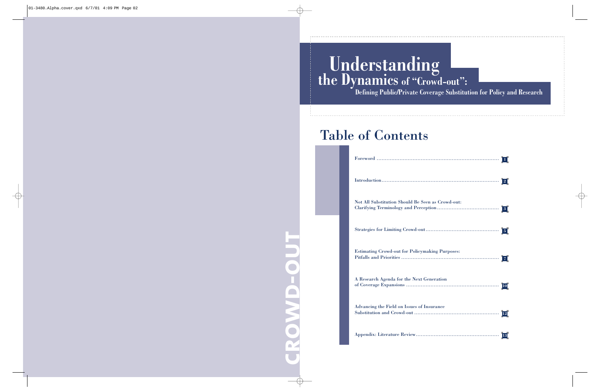# **Understanding the Dynamics of "Crowd-out":**

**Defining Public/Private Coverage Substitution for Policy and Research**

## Table of Contents

**crowd-out** LOWD-OU

| $\label{eq:introduction} \begin{minipage}[c]{0.9\linewidth} \textbf{Introduction} \end{minipage} \begin{minipage}[c]{0.9\linewidth} \textbf{Introduction} \end{minipage}$<br>$\vert 2 \vert$ |
|----------------------------------------------------------------------------------------------------------------------------------------------------------------------------------------------|
| Not All Substitution Should Be Seen as Crowd-out:<br>$\vert 3 \vert$                                                                                                                         |
| $\vert 5 \vert$                                                                                                                                                                              |
| <b>Estimating Crowd-out for Policymaking Purposes:</b><br> 7                                                                                                                                 |
| A Research Agenda for the Next Generation<br><b>10</b>                                                                                                                                       |
| Advancing the Field on Issues of Insurance<br>12                                                                                                                                             |
|                                                                                                                                                                                              |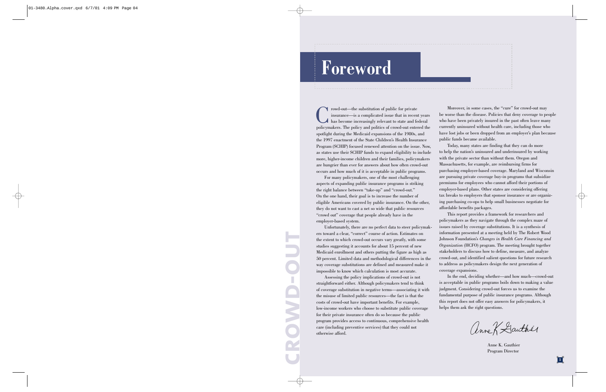# **Foreword**

Crowd-out—the substitution of public for private insurance—is a complicated issue that in recent years has become increasingly relevant to state and federal policymakers. The policy and politics of crowd-out entered the spotlight during the Medicaid expansions of the 1980s, and the 1997 enactment of the State Children's Health Insurance Program (SCHIP) focused renewed attention on the issue. Now, as states use their SCHIP funds to expand eligibility to include more, higher-income children and their families, policymakers are hungrier than ever for answers about how often crowd-out occurs and how much of it is acceptable in public programs.

For many policymakers, one of the most challenging aspects of expanding public insurance programs is striking the right balance between "take-up" and "crowd-out." On the one hand, their goal is to increase the number of eligible Americans covered by public insurance. On the other, they do not want to cast a net so wide that public resources "crowd out" coverage that people already have in the employer-based system.

Unfortunately, there are no perfect data to steer policymakers toward a clear, "correct" course of action. Estimates on the extent to which crowd-out occurs vary greatly, with some studies suggesting it accounts for about 15 percent of new Medicaid enrollment and others putting the figure as high as 50 percent. Limited data and methodological differences in the way coverage substitutions are defined and measured make it impossible to know which calculation is most accurate.

Assessing the policy implications of crowd-out is not straightforward either. Although policymakers tend to think of coverage substitution in negative terms—associating it with the misuse of limited public resources—the fact is that the costs of crowd-out have important benefits. For example, low-income workers who choose to substitute public coverage for their private insurance often do so because the public program provides access to continuous, comprehensive health care (including preventive services) that they could not otherwise afford.

Moreover, in some cases, the "cure" for crowd-out may be worse than the disease. Policies that deny coverage to people who have been privately insured in the past often leave many currently uninsured without health care, including those who have lost jobs or been dropped from an employer's plan because public funds became available.

Today, many states are finding that they can do more to help the nation's uninsured and underinsured by working with the private sector than without them. Oregon and Massachusetts, for example, are reimbursing firms for purchasing employer-based coverage. Maryland and Wisconsin are pursuing private coverage buy-in programs that subsidize premiums for employees who cannot afford their portions of employer-based plans. Other states are considering offering tax breaks to employers that sponsor insurance or are organizing purchasing co-ops to help small businesses negotiate for affordable benefits packages.

This report provides a framework for researchers and policymakers as they navigate through the complex maze of issues raised by coverage substitutions. It is a synthesis of information presented at a meeting held by The Robert Wood Johnson Foundation's *Changes in Health Care Financing and Organization* (HCFO) program. The meeting brought together stakeholders to discuss how to define, measure, and analyze crowd-out, and identified salient questions for future research to address as policymakers design the next generation of coverage expansions.

In the end, deciding whether—and how much—crowd-out is acceptable in public programs boils down to making a value judgment. Considering crowd-out forces us to examine the fundamental purpose of public insurance programs. Although this report does not offer easy answers for policymakers, it helps them ask the right questions.

anne K Gauthér

Anne K. Gauthier Program Director

**crowd-out**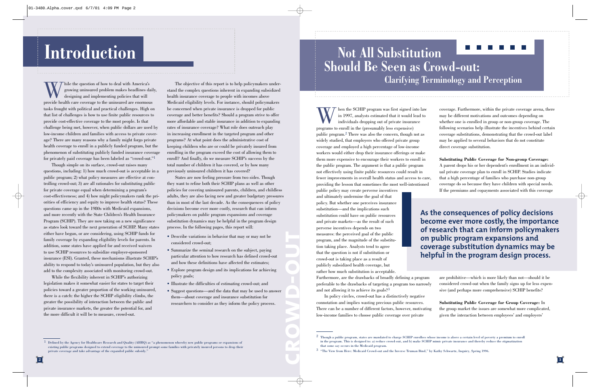# **Introduction**

While the question of how to deal with America's growing uninsured problem makes headlines daily, designing and implementing policies that will provide health care coverage to the uninsured are enormous tasks frought with political and practical challenges. High on that list of challenges is how to use finite public resources to provide cost-effective coverage to the most people. Is that challenge being met, however, when public dollars are used by low-income children and families with access to private coverage? There are many reasons why a family might forgo private health coverage to enroll in a publicly funded program, but the <sup>p</sup>henomenon of substituting publicly funded insurance coverage for privately paid coverage has been labeled as "crowd-out."1

Though simple on its surface, crowd-out raises many questions, including: 1) how much crowd-out is acceptable in a public program; 2) what policy measures are effective at controlling crowd-out; 3) are all rationales for substituting public for private coverage equal when determining a program's cost-effectiveness; and 4) how might policymakers rank the priorities of efficiency and equity to improve health status? These questions came up in the 1980s with Medicaid expansions, and more recently with the State Children's Health Insurance Program (SCHIP). They are now taking on a new significance as states look toward the next generation of SCHIP. Many states either have begun, or are considering, using SCHIP funds for family coverage by expanding eligibility levels for parents. In addition, some states have applied for and received waivers to use SCHIP resources to subsidize employer-sponsored insurance (ESI). Granted, these mechanisms illustrate SCHIP's ability to respond to today's uninsured population, but they also add to the complexity associated with monitoring crowd-out.

While the flexibility inherent in SCHIP's authorizing legislation makes it somewhat easier for states to target their policies toward a greater proportion of the working uninsured, there is a catch: the higher the SCHIP eligibility climbs, the greater the possibility of interaction between the public and private insurance markets, the greater the potential for, and the more difficult it will be to measure, crowd-out.

The objective of this report is to help policymakers understand the complex questions inherent in expanding subsidized health insurance coverage to people with incomes above Medicaid eligibility levels. For instance, should policymakers be concerned when private insurance is dropped for public coverage and better benefits? Should a program strive to offer more affordable and stable insurance in addition to expanding rates of insurance coverage? What role does outreach play in increasing enrollment in the targeted program and other programs? At what point does the administrative cost of keeping children who are or could be privately insured from enrolling in the program exceed the cost of allowing them to enroll? And finally, do we measure SCHIP's success by the total number of children it has covered, or by how many previously uninsured children it has covered?

States are now feeling pressure from two sides. Though they want to refine both their SCHIP plans as well as other policies for covering uninsured parents, children, and childless adults, they are also facing new and greater budgetary pressures than in most of the last decade. As the consequences of policy decisions become ever more costly, research that can inform policymakers on public program expansions and coverage substitution dynamics may be helpful in the program design process. In the following pages, this report will:

- Describe variations in behavior that may or may not be considered crowd-out;
- Summarize the seminal research on the subject, paying particular attention to how research has defined crowd-out and how these definitions have affected the estimates;
- Explore program design and its implications for achieving policy goals;
- Illustrate the difficulties of estimating crowd-out; and
- Suggest questions—and the data that may be used to answer them—about coverage and insurance substitution for researchers to consider as they inform the policy process.

**crowd-out**

### **Not All Substitution Should Be Seen as Crowd-out: Clarifying Terminology and Perception**

hen the SCHIP program was first signed into law in 1997, analysts estimated that it would lead to individuals dropping out of private insurance programs to enroll in the (presumably less expensive) public program.2 There was also the concern, though not as widely studied, that employers who offered private group coverage and employed a high percentage of low-income workers would either drop their insurance offerings or make them more expensive to encourage their workers to enroll in the public program. The argument is that a public program not effectively using finite public resources could result in fewer improvements in overall health status and access to care, providing the lesson that sometimes the most well-intentioned

public policy may create perverse incentives and ultimately undermine the goal of that policy. But whether one perceives insurance substitution—and the implications such substitution could have on public resources and private markets—as the result of such perverse incentives depends on two measures: the perceived goal of the public program, and the magnitude of the substitution taking place. Analysts tend to agree that the question is not if substitution or crowd-out is taking place as a result of publicly subsidized health coverage, but rather how much substitution is acceptable.

Furthermore, are the drawbacks of broadly defining a program preferable to the drawbacks of targeting a program too narrowly and not allowing it to achieve its goals?3

In policy circles, crowd-out has a distinctively negative connotation and implies wasting precious public resources. There can be a number of different factors, however, motivating low-income families to choose public coverage over private

coverage. Furthermore, within the private coverage arena, there may be different motivations and outcomes depending on whether one is enrolled in group or non-group coverage. The following scenarios help illustrate the incentives behind certain coverage substitutions, demonstrating that the crowd-out label may be applied to several behaviors that do not constitute direct coverage substitution.

**Substituting Public Coverage for Non-group Coverage:** A parent drops his or her dependent's enrollment in an individual private coverage plan to enroll in SCHIP. Studies indicate that a high percentage of families who purchase non-group coverage do so because they have children with special needs. If the premiums and copayments associated with this coverage

**As the consequences of policy decisions become ever more costly, the importance of research that can inform policymakers on public program expansions and coverage substitution dynamics may be helpful in the program design process.**

> are prohibitive—which is more likely than not—should it be considered crowd-out when the family signs up for less expensive (and perhaps more comprehensive) SCHIP benefits?

**Substituting Public Coverage for Group Coverage:** In the group market the issues are somewhat more complicated, <sup>g</sup>iven the interaction between employees' and employers'

 Defined by the Agency for Healthcare Research and Quality (AHRQ) as "a phenomenon whereby new public programs or expansions of existing public programs designed to extend coverage to the uninsured prompt some families with privately insured persons to drop their private coverage and take advantage of the expanded public subsidy."

 $^2\,$  Though a public program, states are mandated to charge SCHIP enrollees whose income is above a certain level of poverty a premium to enroll in the program. This is designed to: a) reduce crowd-out, and b) make SCHIP mimic private insurance and thereby reduce the stigmatization that some say occurs in the Medicaid program.

 $3$  "The View from Here: Medicaid Crowd-out and the Inverse Truman Bind," by Kathy Schwartz, Inquiry, Spring 1996.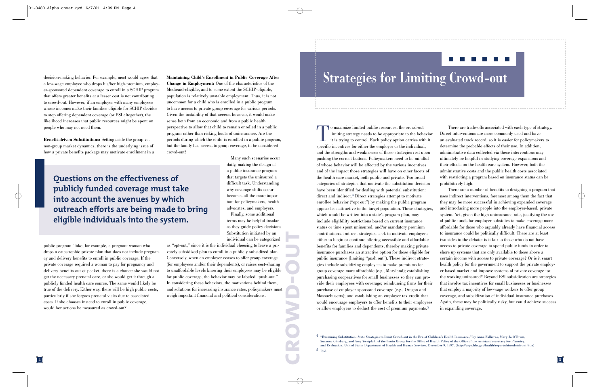decision-making behavior. For example, most would agree that a low-wage employee who drops his/her high-premium, employer-sponsored dependent coverage to enroll in a SCHIP program that offers greater benefits at a lesser cost is not contributing to crowd-out. However, if an employer with many employees whose incomes make their families eligible for SCHIP decides to stop offering dependent coverage (or ESI altogether), the likelihood increases that public resources might be spent on people who may not need them.

**Benefit-driven Substitutions:** Setting aside the group vs. non-group market dynamics, there is the underlying issue of how a private benefits package may motivate enrollment in a

**Questions on the effectiveness of publicly funded coverage must take into account the avenues by which outreach efforts are being made to bring eligible individuals into the system.**

public program. Take, for example, a pregnant woman who drops a catastrophic private plan that does not include pregnancy and delivery benefits to enroll in public coverage. If the private coverage required a woman to pay for pregnancy and delivery benefits out-of-pocket, there is a chance she would not get the necessary prenatal care, or she would get it through a publicly funded health care source. The same would likely be true of the delivery. Either way, there will be high public costs, particularly if she forgoes prenatal visits due to associated costs. If she chooses instead to enroll in public coverage, would her actions be measured as crowd-out?

**Maintaining Child's Enrollment in Public Coverage After Change in Employment:** One of the characteristics of the Medicaid-eligible, and to some extent the SCHIP-eligible, population is relatively unstable employment. Thus, it is not uncommon for a child who is enrolled in a public program to have access to private group coverage for various periods. Given the instability of that access, however, it would make sense both from an economic and from a public health perspective to allow that child to remain enrolled in a public program rather than risking bouts of uninsurance. Are the periods during which the child is enrolled in a public program, but the family has access to group coverage, to be considered crowd-out?

> Many such scenarios occur daily, making the design of a public insurance program that targets the uninsured a difficult task. Understanding why coverage shifts occur becomes all the more important for policymakers, health advocates, and employers.

Finally, some additional terms may be helpful insofar as they guide policy decisions. Substitution initiated by an individual can be categorized

as "opt-out," since it is the individual choosing to leave a privately subsidized plan to enroll in a publicly subsidized plan. Conversely, when an employer ceases to offer group coverage (for employees and/or their dependents), or raises cost-sharing to unaffordable levels knowing their employees may be eligible for public coverage, the behavior may be labeled "push-out." In considering these behaviors, the motivations behind them, and solutions for increasing insurance rates, policymakers must weigh important financial and political considerations. **crowd-out**

# **Strategies for Limiting Crowd-out**

To maximize limited public resources, the crowd-out limiting strategy needs to be appropriate to the behavior it is trying to control. Each policy option carries with it specific incentives for either the employer or the individual, and the strengths and weaknesses of these strategies rest upon pushing the correct buttons. Policymakers need to be mindful of whose behavior will be affected by the various incentives and of the impact those strategies will have on other facets of the health care market, both public and private. Two broad categories of strategies that motivate the substitution decision have been identified for dealing with potential substitution: direct and indirect.4 Direct strategies attempt to motivate enrollee behavior ("opt out") by making the public program appear less attractive to the target population. These strategies, which would be written into a state's program plan, may include eligibility restrictions based on current insurance status or time spent uninsured, and/or mandatory premium contributions. Indirect strategies seek to motivate employers either to begin or continue offering accessible and affordable benefits for families and dependents, thereby making private insurance purchases an attractive option for those eligible for public insurance (limiting "push out"). These indirect strate<sup>g</sup>ies include subsidizing employees to make premiums for group coverage more affordable (e.g., Maryland); establishing purchasing cooperatives for small businesses so they can provide their employees with coverage; reimbursing firms for their purchase of employer-sponsored coverage (e.g., Oregon and Massachusetts); and establishing an employer tax credit that would encourage employers to offer benefits to their employees or allow employers to deduct the cost of premium payments.5

There are trade-offs associated with each type of strategy. Direct interventions are more commonly used and have an evaluated track record, so it is easier for policymakers to determine the probable effects of their use. In addition, administrative data collected via these interventions may ultimately be helpful in studying coverage expansions and their effects on the health care system. However, both the administrative costs and the public health costs associated with restricting a program based on insurance status can be prohibitively high.

. . . . . .

There are a number of benefits to designing a program that uses indirect interventions, foremost among them the fact that they may be more successful in achieving expanded coverage and introducing more people into the employer-based, private system. Yet, given the high uninsurance rate, justifying the use of public funds for employer subsidies to make coverage more affordable for those who arguably already have financial access to insurance could be politically difficult. There are at least two sides to the debate: is it fair to those who do not haveaccess to private coverage to spend public funds in order to shore up systems that are only available to those above a certain income with access to private coverage? Or is it smart health policy for the government to support the private employer-based market and improve systems of private coverage for the working uninsured? Beyond ESI subsidization are strategies that involve tax incentives for small businesses or businesses that employ a majority of low-wage workers to offer group coverage, and subsidization of individual insurance purchases. Again, these may be politically risky, but could achieve success in expanding coverage.

 $^4$  "Examining Substitution: State Strategies to Limit Crowd-out in the Era of Children's Health Insurance," by Anna Fallieras, Mary Jo O'Brien, Susanna Ginsburg, and Amy Westpfahl of the Lewin Group for the Office of Health Policy of the Office of the Assistant Secretary for Planning and Evaluation, United States Department of Health and Human Services, December 9, 1997. (http://aspe.hhs.gov/health/reports/hinsubst/front.htm) 5 Ibid.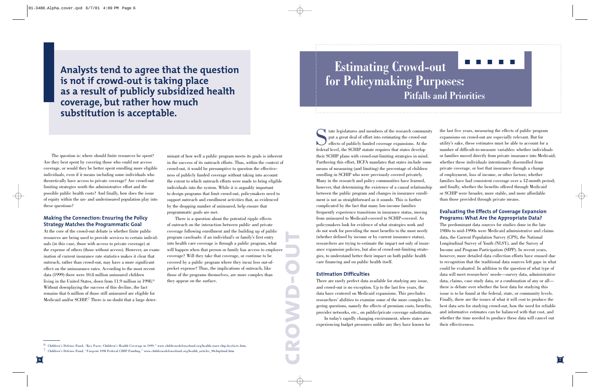**Analysts tend to agree that the question is not if crowd-out is taking place as a result of publicly subsidized health coverage, but rather how much substitution is acceptable.**

The question is: where should finite resources be spent? Are they best spent by covering those who could not access coverage, or would they be better spent enrolling more eligible individuals, even if it means including some individuals who theoretically have access to private coverage? Are crowd-out limiting strategies worth the administrative effort and the possible public health costs? And finally, how does the issue of equity within the un- and underinsured population play into these questions?

#### **Making the Connection: Ensuring the Policy Strategy Matches the Programmatic Goal**

At the core of the crowd-out debate is whether finite public resources are being used to provide services to certain individuals (in this case, those with access to private coverage) at the expense of others (those without access). However, an examination of current insurance rate statistics makes it clear that outreach, rather than crowd-out, may have a more significant effect on the uninsurance rates. According to the most recent data (1999) there were 10.8 million uninsured children living in the United States, down from 11.9 million in 1998.6 Without downplaying the success of this decline, the fact remains that 6 million of those still uninsured are eligible for Medicaid and/or SCHIP.7 There is no doubt that a large deter-

minant of how well a public program meets its goals is inherent in the success of its outreach efforts. Thus, within the context of crowd-out, it would be presumptive to question the effective ness of publicly funded coverage without taking into account the extent to which outreach efforts were made to bring eligible individuals into the system. While it is arguably important to design programs that limit crowd-out, policymakers need to support outreach and enrollment activities that, as evidenced

by the dropping number of uninsured, help ensure that<br>programmatic goals are met.<br>There is a question about the potential ripple effects<br>of outreach on the interaction between public and private<br>coverage following enrollme program caseloads: if an individual's or family's first entry into health care coverage is through a public program, what will happen when that person or family has access to employer coverage? Will they take that coverage, or continue to be covered by a public program where they incur less out-of pocket expense? Thus, the implications of outreach, like those of the programs themselves, are more complex than they appear on the surface.

### **Estimating Crowd-out**  <u>Film Film Film</u> **for Policymaking Purposes: Pitfalls and Priorities**

State legislatures and members of the research community put a great deal of effort into estimating the crowd-out effects of publicly funded coverage expansions. At the federal level, the SCHIP statute requires that states develop their SCHIP plans with crowd-out-limiting strategies in mind. Furthering this effort, HCFA mandates that states include some means of measuring (and limiting) the percentage of children enrolling in SCHIP who were previously covered privately. Many in the research and policy communities have learned, however, that determining the existence of a causal relationship between the public program and changes in insurance enrollment is not as straightforward as it sounds. This is further complicated by the fact that many low-income families frequently experience transitions in insurance status, moving from uninsured to Medicaid-covered to SCHIP-covered. As policymakers look for evidence of what strategies work and do not work for providing the most benefits to the most needy (whether defined by income or by current insurance status), researchers are trying to estimate the impact not only of insurance expansion policies, but also of crowd-out-limiting strate<sup>g</sup>ies, to understand better their impact on both public health care financing and on public health itself.

#### **Estimation Difficulties**

**crowd-out**

There are rarely perfect data available for studying any issue, and crowd-out is no exception. Up to the last few years, the data have centered on Medicaid expansions. This precludes researchers' abilities to examine some of the more complex lingering questions, namely the effects of premium costs, benefits, provider networks, etc., on public/private coverage substitution. In today's rapidly changing environment, where states are

experiencing budget pressures unlike any they have known for

the last five years, measuring the effects of public program expansions on crowd-out are especially relevant. But for utility's sake, these estimates must be able to account for a number of difficult-to-measure variables: whether individuals or families moved directly from private insurance into Medicaid; whether these individuals intentionally disenrolled from private coverage, or lost that insurance through a change of employment, loss of income, or other factors; whether families have had consistent coverage over a 12-month period; and finally, whether the benefits offered through Medicaid or SCHIP were broader, more stable, and more affordable than those provided through private means.

#### **Evaluating the Effects of Coverage Expansion Programs: What Are the Appropriate Data?**

The predominant data sources for studies done in the late 1980s to mid-1990s were Medicaid administrative and claimsdata, the Current Population Survey (CPS), the National Longitudinal Survey of Youth (NLSY), and the Survey of Income and Program Participation (SIPP). In recent years, however, more detailed data collection efforts have ensued due to recognition that the traditional data sources left gaps in what could be evaluated. In addition to the question of what type of data will meet researchers' needs—survey data, administrative data, claims, case study data, or a combination of any or all there is debate over whether the best data for studying this issue is to be found at the federal, state, or community levels. Finally, there are the issues of what it will cost to produce the best data sets for studying crowd-out, how the need for reliable and informative estimates can be balanced with that cost, and whether the time needed to produce these data will cancel out their effectiveness.

 $^6$  Children's Defense Fund, "Key Facts: Children's Health Coverage in 1999." www.childrensdefensefund.org/health-start-chip-keyfacts.htm.

 $^7$  Children's Defense Fund, "Unspent 1998 Federal CHIP Funding." www.childrensdefensefund.org/health\_articles\_98chipfund.htm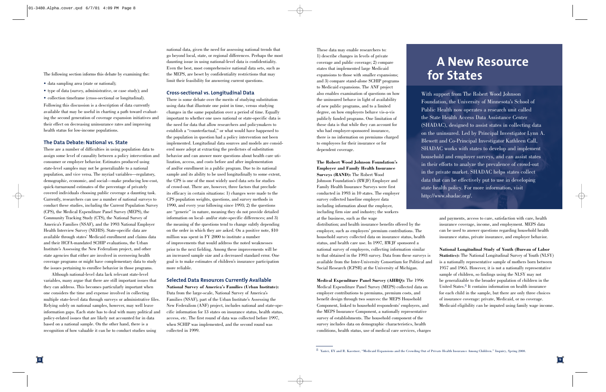The following section informs this debate by examining the:

- data sampling area (state or national);
- type of data (survey, administrative, or case study); and
- collection timeframe (cross-sectional or longitudinal).

Following this discussion is a description of data currently available that may be useful in charting a path toward evaluating the second generation of coverage expansion initiatives and their effect on decreasing uninsurance rates and improving health status for low-income populations.

#### **The Data Debate: National vs. State**

There are a number of difficulties in using population data to assign some level of causality between a policy intervention and consumer or employer behavior. Estimates produced using state-level samples may not be generalizable to a national population, and vice versa. The myriad variables—regulatory, demographic, economic, and social—make producing low-cost, quick-turnaround estimates of the percentage of privately covered individuals choosing public coverage a daunting task. Currently, researchers can use a number of national surveys to conduct these studies, including the Current Population Survey (CPS), the Medical Expenditure Panel Survey (MEPS), the Community Tracking Study (CTS), the National Survey of America's Families (NSAF), and the 1993 National Employer Health Interview Survey (NEHIS). State-specific data are available through states' Medicaid enrollment and claims data and their HCFA-mandated SCHIP evaluations, the Urban Institute's Assessing the New Federalism project, and other state agencies that either are involved in overseeing health coverage programs or might have complementary data to study the issues pertaining to enrollee behavior in those programs.

Although national-level data lack relevant state-level variables, many argue that there are still important issues that they can address. This becomes particularly important when one considers the time and expense involved in collecting multiple state-level data through surveys or administrative files. Relying solely on national samples, however, may well leave information gaps. Each state has to deal with many political and policy-related issues that are likely not accounted for in data based on a national sample. On the other hand, there is a recognition of how valuable it can be to conduct studies using

national data, given the need for assessing national trends that go beyond local, state, or regional differences. Perhaps the most daunting issue in using national-level data is confidentiality. Even the best, most comprehensive national data sets, such as the MEPS, are beset by confidentiality restrictions that may limit their feasibility for answering current questions.

#### **Cross-sectional vs. Longitudinal Data**

There is some debate over the merits of studying substitution using data that illustrate one point in time, versus studying changes in the same population over a period of time. Equally important to whether one uses national or state-specific data is the need for data that allow researchers and policymakers to establish a "counterfactual," or what would have happened to the population in question had a policy intervention not been implemented. Longitudinal data sources and models are considered more adept at extracting the predictors of substitution behavior and can answer more questions about health care utilization, access, and costs before and after implementation of and/or enrollment in a public program. Due to its national sample and its ability to be used longitudinally to some extent, the CPS is one of the most widely used data sets for studies of crowd-out. There are, however, three factors that preclude its efficacy in certain situations: 1) changes were made to the CPS population weights, questions, and survey methods in 1990, and every year following since 1993; 2) the questions are "generic" in nature, meaning they do not provide detailed information on local- and/or state-specific differences; and 3) the meaning of the questions tend to change subtly depending on the order in which they are asked. On a positive note, \$10 million was spent in FY 2000 to institute a number of improvements that would address the noted weaknesses prior to the next fielding. Among these improvements will be an increased sample size and a decreased standard error. One goal is to make estimates of children's insurance participation more reliable.

#### **Selected Data Resources Currently Available**

**National Survey of America's Families (Urban Institute):** Data from the large-scale, National Survey of America's Families (NSAF), part of the Urban Institute's Assessing the New Federalism (ANF) project, includes national and state-specific information for 13 states on insurance status, health status, access, etc. The first round of data was collected before 1997, when SCHIP was implemented, and the second round was collected in 1999.

These data may enable researchers to: 1) describe changes in levels of private coverage and public coverage; 2) compare states that implemented large Medicaid expansions to those with smaller expansions; and 3) compare stand-alone SCHIP programs to Medicaid expansions. The ANF project also enables examination of questions on how the uninsured behave in light of availability of new public programs, and to a limited degree, on how employers behave vis-a-vis publicly funded programs. One limitation of these data is that while they can account for who had employer-sponsored insurance, there is no information on premiums charged to employees for their insurance or for dependent coverage.

**The Robert Wood Johnson Foundation's Employer and Family Health Insurance Surveys (RAND):** The Robert Wood Johnson Foundation's (RWJF) Employer and Family Health Insurance Surveys were first conducted in 1993 in 10 states. The employer survey collected baseline employer data including information about the employer, including firm size and industry; the workers at the business, such as the wage distribution; and health insurance benefits offered by the employer, such as employers' premium contributions. The household survey collected data on insurance status, health status, and health care use. In 1997, RWJF sponsored a national survey of employers, collecting information similar to that obtained in the 1993 survey. Data from these surveys is available from the Inter-University Consortium for Political and Social Research (ICPSR) at the University of Michigan.

**Medical Expenditure Panel Survey (AHRQ):** The 1996 Medical Expenditure Panel Survey (MEPS) collected data on employer contributions to premiums, premium costs, and benefit design through two sources: the MEPS Household Component, linked to household respondents' employers, and the MEPS Insurance Component, a nationally representative survey of establishments. The household component of the survey includes data on demographic characteristics, health conditions, health status, use of medical care services, charges

## **A New Resource for States**

With support from The Robert Wood Johnson Foundation, the University of Minnesota's School of Public Health now operates a research unit called the State Health Access Data Assistance Center (SHADAC), designed to assist states in collecting data on the uninsured. Led by Principal Investigator Lynn A. Blewett and Co-Principal Investigator Kathleen Call, SHADAC works with states to develop and implement household and employer surveys, and can assist states in their efforts to analyze the prevalence of crowd-out in the private market. SHADAC helps states collect data that can be effectively put to use in developing state health policy. For more information, visit http://www.shadac.org/.

> and payments, access to care, satisfaction with care, health insurance coverage, income, and employment. MEPS data can be used to answer questions regarding household health insurance status, private insurance, and employer behavior.

**National Longitudinal Study of Youth (Bureau of Labor Statistics):** The National Longitudinal Survey of Youth (NLSY) is a nationally representative sample of mothers born between 1957 and 1965. However, it is not a nationally representative sample of children, so findings using the NLSY may not be generalizable to the broader population of children in the United States.8 It contains information on health insurance for each child in the sample, but there are only three choices of insurance coverage: private, Medicaid, or no coverage. Medicaid eligibility can be imputed using family wage income.

 $8$  Yazici, EY and R. Kaestner, "Medicaid Expansions and the Crowding Out of Private Health Insurance Among Children." Inquiry, Spring 2000.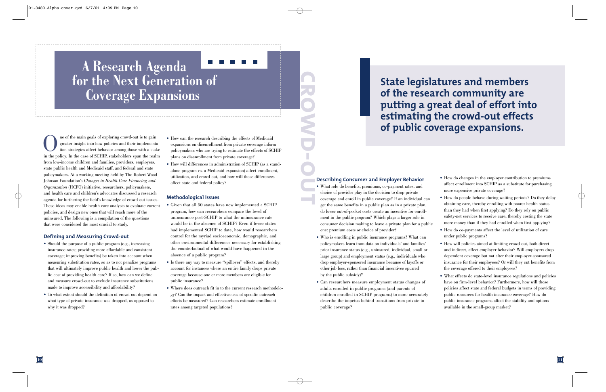# **A Research Agenda for the Next Generation of Coverage Expansions**

One of the main goals of exploring crowd-out is to gain greater insight into how policies and their implementa- tion strategies affect behavior among those with a stake in the policy. In the case of SCHIP, stakeholders span the realm from low-income children and families, providers, employers, state public health and Medicaid staff, and federal and state policymakers. At a working meeting held by The Robert Wood Johnson Foundation's *Changes in Health Care Financing and Organization* (HCFO) initiative, researchers, policymakers, and health care and children's advocates discussed a research agenda for furthering the field's knowledge of crowd-out issues. These ideas may enable health care analysts to evaluate current policies, and design new ones that will reach more of the uninsured. The following is a compilation of the questions that were considered the most crucial to study.

#### **Defining and Measuring Crowd-out**

- Should the purpose of a public program (e.g., increasing insurance rates; providing more affordable and consistent coverage; improving benefits) be taken into account when measuring substitution rates, so as to not penalize programs that will ultimately improve public health and lower the public cost of providing health care? If so, how can we define and measure crowd-out to exclude insurance substitutions made to improve accessibility and affordability?
- To what extent should the definition of crowd-out depend on what type of private insurance was dropped, as opposed to why it was dropped?
- How can the research describing the effects of Medicaid expansions on disenrollment from private coverage inform policymakers who are trying to estimate the effects of SCHIP <sup>p</sup>lans on disenrollment from private coverage?
- How will differences in administration of SCHIP (as a standalone program vs. a Medicaid expansion) affect enrollment, utilization, and crowd-out, and how will those differences affect state and federal policy?

#### **Methodological Issues**

- Given that all 50 states have now implemented a SCHIP program, how can researchers compare the level of uninsurance post-SCHIP to what the uninsurance rate would be in the absence of SCHIP? Even if fewer states had implemented SCHIP to date, how would researchers control for the myriad socioeconomic, demographic, and other environmental differences necessary for establishing the counterfactual of what would have happened in the absence of a public program?
- Is there any way to measure "spillover" effects, and thereby account for instances where an entire family drops private coverage because one or more members are eligible for public insurance?
- Where does outreach fit in to the current research methodology? Can the impact and effectiveness of specific outreach efforts be measured? Can researchers estimate enrollmentrates among targeted populations?

State legislatures and members<br>
of the research community are<br>
putting a great deal of effort into<br>
estimating the crowd-out effects<br>
of public coverage expansions.<br>
Describing Consumer and Employer Behavior<br>
What we do ch

#### **Describing Consumer and Employer Behavior**

- What role do benefits, premiums, co-payment rates, and choice of provider play in the decision to drop private coverage and enroll in public coverage? If an individual can get the same benefits in a public plan as in a private plan, do lower out-of-pocket costs create an incentive for enrollment in the public program? Which plays a larger role in consumer decision making to leave a private plan for a public one: premium costs or choice of provider?
- Who is enrolling in public insurance programs? What can policymakers learn from data on individuals' and families' prior insurance status (e.g., uninsured, individual, small or large group) and employment status (e.g., individuals who drop employer-sponsored insurance because of layoffs or other job loss, rather than financial incentives spurred by the public subsidy)?
- Can researchers measure employment status changes of adults enrolled in public programs (and parents of children enrolled in SCHIP programs) to more accurately describe the impetus behind transitions from private to public coverage?
- How do changes in the employer contribution to premiums affect enrollment into SCHIP as a substitute for purchasing more expensive private coverage?
- How do people behave during waiting periods? Do they delay obtaining care, thereby enrolling with poorer health status than they had when first applying? Do they rely on public safety-net services to receive care, thereby costing the state more money than if they had enrolled when first applying?
- How do co-payments affect the level of utilization of care under public programs?
- How will policies aimed at limiting crowd-out, both direct and indirect, affect employer behavior? Will employers drop dependent coverage but not alter their employer-sponsored insurance for their employees? Or will they cut benefits from the coverage offered to their employees?
- What effects do state-level insurance regulations and policies have on firm-level behavior? Furthermore, how will those policies affect state and federal budgets in terms of providing public resources for health insurance coverage? How do public insurance programs affect the stability and options available in the small-group market?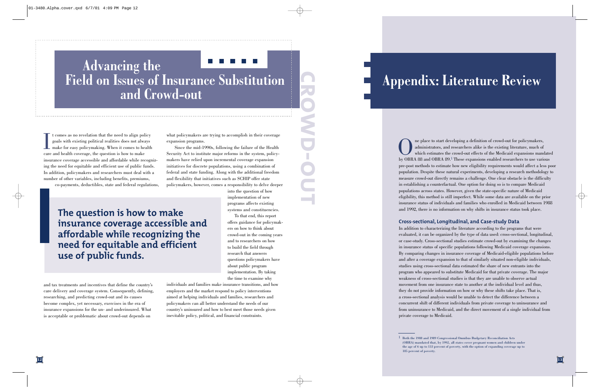# **Advancing the Field on Issues of Insurance Substitution and Crowd-out**

It comes as no revelation that the need to align policy goals with existing political realities does not always make for easy policymaking. When it comes to health care and health coverage, the question is how to make insurance coverage accessible and affordable while recognizing the need for equitable and efficient use of public funds. In addition, policymakers and researchers must deal with a number of other variables, including benefits, premiums,

co-payments, deductibles, state and federal regulations,

**The question is how to make insurance coverage accessible and affordable while recognizing the need for equitable and efficient use of public funds.**

and tax treatments and incentives that define the country's care delivery and coverage system. Consequently, defining, researching, and predicting crowd-out and its causes become complex, yet necessary, exercises in the era of insurance expansions for the un- and underinsured. What is acceptable or problematic about crowd-out depends on

individuals and families make insurance transitions, and how employers and the market respond to policy interventions aimed at helping individuals and families, researchers and policymakers can all better understand the needs of our country's uninsured and how to best meet those needs given inevitable policy, political, and financial constraints.

what policymakers are trying to accomplish in their coverage expansion programs. Since the mid-1990s, following the failure of the Health

Security Act to institute major reforms in the system, policymakers have relied upon incremental coverage expansion initiatives for discrete populations, using a combination of federal and state funding. Along with the additional freedom and flexibility that initiatives such as SCHIP offer state policymakers, however, comes a responsibility to delve deeper

> into the question of how implementation of new programs affects existing systems and constituencies.

To that end, this report offers guidance for policymakers on how to think aboutcrowd-out in the coming years and to researchers on how to build the field through research that answers questions policymakers have about public program implementation. By taking the time to examine why

**Appendix: Literature Review**<br> **Appendix: Literature Review**<br> **Appendix:** Literature Review of a policynakers,<br>
administrators, and researchers alike is the existing literature, mech of<br>
which estimates the crowd-out effec and 1992, there is no information on why shifts in insurance status took place.

#### **Cross-sectional, Longitudinal, and Case-study Data**

In addition to characterizing the literature according to the programs that were evaluated, it can be organized by the type of data used: cross-sectional, longitudinal, or case-study. Cross-sectional studies estimate crowd-out by examining the changes in insurance status of specific populations following Medicaid coverage expansions. By comparing changes in insurance coverage of Medicaid-eligible populations before and after a coverage expansion to that of similarly situated non-eligible individuals, studies using cross-sectional data estimated the share of new entrants into the program who appeared to substitute Medicaid for that private coverage. The major weakness of cross-sectional studies is that they are unable to observe actual movement from one insurance state to another at the individual level and thus, they do not provide information on how or why these shifts take place. That is, a cross-sectional analysis would be unable to detect the difference between a concurrent shift of different individuals from private coverage to uninsurance and from uninsurance to Medicaid, and the direct movement of a single individual from private coverage to Medicaid.

<sup>1</sup> Both the 1988 and 1989 Congressional Omnibus Budgetary Reconciliation Acts (OBRA) mandated that, by 1992, all states cover pregnant women and children under the age of 6 up to 133 percent of poverty, with the option of expanding coverage up to 185 percent of poverty.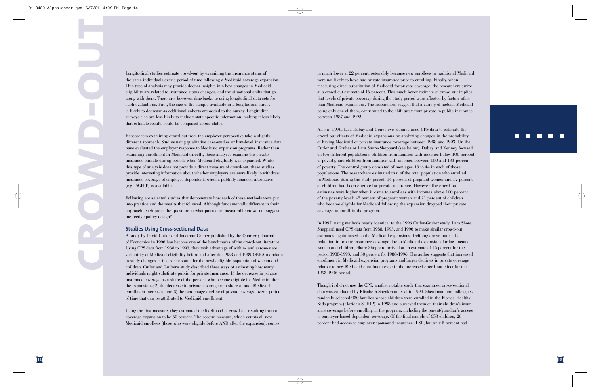Longitudinal studies estimate crowd-out by examining the insurance status of the same individuals over a period of time following a Medicaid coverage expansion. This type of analysis may provide deeper insights into how changes in Medicaid eligibility are related to insurance status changes, and the situational shifts that go along with them. There are, however, drawbacks to using longitudinal data sets for such evaluations. First, the size of the sample available in a longitudinal survey is likely to decrease as additional cohorts are added to the survey. Longitudinal surveys also are less likely to include state-specific information, making it less likely that estimate results could be compared across states.

Researchers examining crowd-out from the employer perspective take a slightly different approach. Studies using qualitative case-studies or firm-level insurance data have evaluated the employer response to Medicaid expansion programs. Rather than examining enrollment in Medicaid directly, these analyses examine the private insurance climate during periods when Medicaid eligibility was expanded. While this type of analysis does not provide a direct measure of crowd-out, these studies provide interesting information about whether employers are more likely to withdraw insurance coverage of employee dependents when a publicly financed alternative (e.g., SCHIP) is available.

Following are selected studies that demonstrate how each of these methods were put into practice and the results that followed. Although fundamentally different in their approach, each poses the question: at what point does measurable crowd-out suggest ineffective policy design?

#### **Studies Using Cross-sectional Data**

A study by David Cutler and Jonathan Gruber published by the Quarterly Journal of Economics in 1996 has become one of the benchmarks of the crowd-out literature. Using CPS data from 1988 to 1993, they took advantage of within- and across-state variability of Medicaid eligibility before and after the 1988 and 1989 OBRA mandates to study changes in insurance status for the newly eligible population of women and children. Cutler and Gruber's study described three ways of estimating how many individuals might substitute public for private insurance: 1) the decrease in private insurance coverage as a share of the persons who became eligible for Medicaid after the expansions; 2) the decrease in private coverage as a share of total Medicaid enrollment increases; and 3) the percentage decline of private coverage over a period of time that can be attributed to Medicaid enrollment.

Using the first measure, they estimated the likelihood of crowd-out resulting from a coverage expansion to be 50 percent. The second measure, which counts all new Medicaid enrollees (those who were eligible before AND after the expansion), comes

in much lower at 22 percent, ostensibly because new enrollees in traditional Medicaid were not likely to have had private insurance prior to enrolling. Finally, when measuring direct substitution of Medicaid for private coverage, the researchers arrive at a crowd-out estimate of 15 percent. This much lower estimate of crowd-out implies that levels of private coverage during the study period were affected by factors other than Medicaid expansions. The researchers suggest that a variety of factors, Medicaid being only one of them, contributed to the shift away from private to public insurance between 1987 and 1992.

Also in 1996, Lisa Dubay and Genevieve Kenney used CPS data to estimate the crowd-out effects of Medicaid expansions by analyzing changes in the probability of having Medicaid or private insurance coverage between 1988 and 1993. Unlike Cutler and Gruber or Lara Shore-Sheppard (see below), Dubay and Kenney focused on two different populations: children from families with incomes below 100 percent of poverty, and children from families with incomes between 100 and 133 percent of poverty. The control group consisted of men ages 18 to 44 in each of those populations. The researchers estimated that of the total population who enrolled in Medicaid during the study period, 14 percent of pregnant women and 17 percent of children had been eligible for private insurance. However, the crowd-out estimates were higher when it came to enrollees with incomes above 100 percent of the poverty level: 45 percent of pregnant women and 21 percent of children who became eligible for Medicaid following the expansion dropped their private coverage to enroll in the program.

In 1997, using methods nearly identical to the 1996 Cutler-Gruber study, Lara Shore Sheppard used CPS data from 1988, 1993, and 1996 to make similar crowd-out estimates, again based on the Medicaid expansions. Defining crowd-out as the reduction in private insurance coverage due to Medicaid expansions for low-income women and children, Shore-Sheppard arrived at an estimate of 15 percent for the period 1988-1993, and 30 percent for 1988-1996. The author suggests that increased enrollment in Medicaid expansion programs and larger declines in private coverage relative to new Medicaid enrollment explain the increased crowd-out effect for the 1993-1996 period.

Though it did not use the CPS, another notable study that examined cross-sectional data was conducted by Elizabeth Shenkman, et al in 1999. Shenkman and colleagues randomly selected 930 families whose children were enrolled in the Florida Healthy Kids program (Florida's SCHIP) in 1998 and surveyed them on their children's insurance coverage before enrolling in the program, including the parent/guardian's access to employer-based dependent coverage. Of the final sample of 653 children, 26 percent had access to employer-sponsored insurance (ESI), but only 5 percent had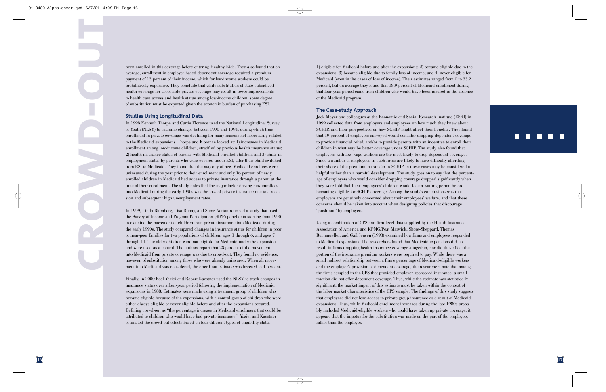been enrolled in this coverage before entering Healthy Kids. They also found that on average, enrollment in employer-based dependent coverage required a premium payment of 13 percent of their income, which for low-income workers could be prohibitively expensive. They conclude that while substitution of state-subsidized health coverage for accessible private coverage may result in fewer improvements to health care access and health status among low-income children, some degree of substitution must be expected given the economic burden of purchasing ESI.

#### **Studies Using Longitudinal Data**

In 1998 Kenneth Thorpe and Curtis Florence used the National Longitudinal Survey of Youth (NLSY) to examine changes between 1990 and 1994, during which time enrollment in private coverage was declining for many reasons not necessarily related to the Medicaid expansions. Thorpe and Florence looked at: 1) increases in Medicaid enrollment among low-income children, stratified by previous health insurance status; 2) health insurance status of parents with Medicaid-enrolled children; and 3) shifts in employment status by parents who were covered under ESI, after their child switched from ESI to Medicaid. They found that the majority of new Medicaid enrollees were uninsured during the year prior to their enrollment and only 16 percent of newly enrolled children in Medicaid had access to private insurance through a parent at the time of their enrollment. The study notes that the major factor driving new enrollees into Medicaid during the early 1990s was the loss of private insurance due to a recession and subsequent high unemployment rates.

In 1999, Linda Blumberg, Lisa Dubay, and Steve Norton released a study that used the Survey of Income and Program Participation (SIPP) panel data starting from 1990 to examine the movement of children from private insurance into Medicaid during the early 1990s. The study compared changes in insurance status for children in poor or near-poor families for two populations of children: ages 1 through 6, and ages 7 through 11. The older children were not eligible for Medicaid under the expansion and were used as a control. The authors report that 23 percent of the movement into Medicaid from private coverage was due to crowd-out. They found no evidence, however, of substitution among those who were already uninsured. When all movement into Medicaid was considered, the crowd-out estimate was lowered to 4 percent.

Finally, in 2000 Esel Yazici and Robert Kaestner used the NLSY to track changes in insurance status over a four-year period following the implementation of Medicaid expansions in 1988. Estimates were made using a treatment group of children who became eligible because of the expansions, with a control group of children who were either always eligible or never eligible before and after the expansions occured. Defining crowd-out as "the percentage increase in Medicaid enrollment that could be attributed to children who would have had private insurance," Yazici and Kaestner estimated the crowd-out effects based on four different types of eligibility status:

1) eligible for Medicaid before and after the expansions; 2) became eligible due to the expansions; 3) became eligible due to family loss of income; and 4) never eligible for Medicaid (even in the cases of loss of income). Their estimates ranged from 0 to 33.2 percent, but on average they found that 18.9 percent of Medicaid enrollment during that four-year period came from children who would have been insured in the absence of the Medicaid program.

#### **The Case-study Approach**

Jack Meyer and colleagues at the Economic and Social Research Institute (ESRI) in 1999 collected data from employers and employees on how much they knew about SCHIP, and their perspectives on how SCHIP might affect their benefits. They found that 19 percent of employers surveyed would consider dropping dependent coverage to provide financial relief, and/or to provide parents with an incentive to enroll their children in what may be better coverage under SCHIP. The study also found that employers with low-wage workers are the most likely to drop dependent coverage. Since a number of employees in such firms are likely to have difficulty affording their share of the premium, a transfer to SCHIP in these cases may be considered a helpful rather than a harmful development. The study goes on to say that the percentage of employers who would consider dropping coverage dropped significantly when they were told that their employees' children would face a waiting period before becoming eligible for SCHIP coverage. Among the study's conclusions was that employers are genuinely concerned about their employees' welfare, and that these concerns should be taken into account when designing policies that discourage "push-out" by employers.

Using a combination of CPS and firm-level data supplied by the Health Insurance Association of America and KPMG/Peat Marwick, Shore-Sheppard, Thomas Buchmueller, and Gail Jensen (1998) examined how firms and employees responded to Medicaid expansions. The researchers found that Medicaid expansions did not result in firms dropping health insurance coverage altogether, nor did they affect the portion of the insurance premium workers were required to pay. While there was a small indirect relationship between a firm's percentage of Medicaid-eligible workers and the employer's provision of dependent coverage, the researchers note that among the firms sampled in the CPS that provided employer-sponsored insurance, a small fraction did not offer dependent coverage. Thus, while the estimate was statistically significant, the market impact of this estimate must be taken within the context of the labor market characteristics of the CPS sample. The findings of this study suggests that employees did not lose access to private group insurance as a result of Medicaid expansions. Thus, while Medicaid enrollment increases during the late 1980s probably included Medicaid-eligible workers who could have taken up private coverage, it appears that the impetus for the substitution was made on the part of the employee, rather than the employer.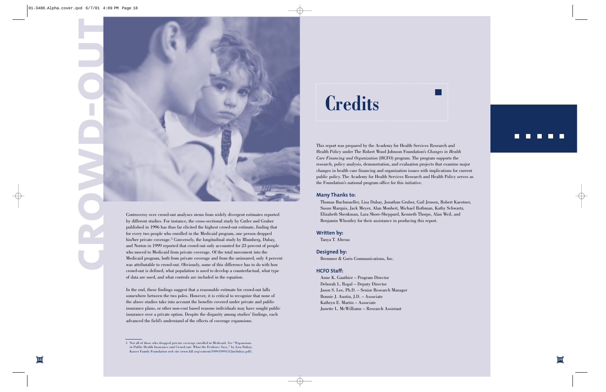

Controversy over crowd-out analyses stems from widely divergent estimates reported by different studies. For instance, the cross-sectional study by Cutler and Gruber published in 1996 has thus far elicited the highest crowd-out estimate, finding that for every two people who enrolled in the Medicaid program, one person dropped his/her private coverage.3 Conversely, the longitudinal study by Blumberg, Dubay, and Norton in 1999 reported that crowd-out only accounted for 23 percent of people who moved to Medicaid from private coverage. Of the total movement into the Medicaid program, both from private coverage and from the uninsured, only 4 percent was attributable to crowd-out. Obviously, some of this difference has to do with how crowd-out is defined, what population is used to develop a counterfactual, what type of data are used, and what controls are included in the equation.

In the end, these findings suggest that a reasonable estimate for crowd-out falls somewhere between the two poles. However, it is critical to recognize that none of the above studies take into account the benefits covered under private and public insurance plans, or other non-cost based reasons individuals may have sought public insurance over a private option. Despite the disparity among studies' findings, each advanced the field's understand of the effects of coverage expansions.

# **Credits**

This report was prepared by the Academy for Health Services Research and Health Policy under The Robert Wood Johnson Foundation's *Changes in Health Care Financing and Organization* (HCFO) program. The program supports the research, policy analysis, demonstration, and evaluation projects that examine major changes in health care financing and organization issues with implications for current public policy. The Academy for Health Services Research and Health Policy serves as the Foundation's national program office for this initiative.

#### **Many Thanks to:**

Thomas Buchmueller, Lisa Dubay, Jonathan Gruber, Gail Jensen, Robert Kaestner, Susan Marquis, Jack Meyer, Alan Monheit, Michael Rothman, Kathy Schwartz, Elizabeth Shenkman, Lara Shore-Sheppard, Kenneth Thorpe, Alan Weil, and Benjamin Wheatley for their assistance in producing this report.

#### **Written by:**

Tanya T. Alteras

**Designed by:**

Bremmer & Goris Communications, Inc.

#### **HCFO Staff:**

Anne K. Gauthier – Program Director Deborah L. Rogal – Deputy Director Jason S. Lee, Ph.D. – Senior Research Manager Bonnie J. Austin, J.D. – Associate Kathryn E. Martin – Associate Junette L. McWilliams – Research Assistant

#### $\Box$ n n T O

<sup>3</sup> Not all of those who dropped private coverage enrolled in Medicaid. See "Expansions in Public Health Insurance and Crowd-out: What the Evidence Says," by Lisa Dubay. Kaiser Family Foundation web site (www.kff.org/content/1999/19991112m/dubay.pdf).